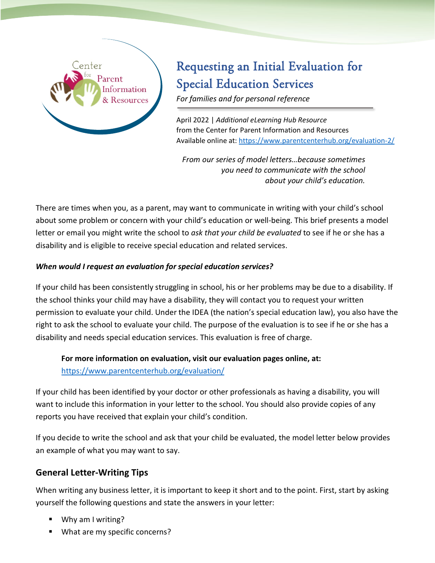

# Requesting an Initial Evaluation for Special Education Services

*For families and for personal reference*

April 2022 | *Additional eLearning Hub Resource* from the Center for Parent Information and Resources Available online at: <https://www.parentcenterhub.org/evaluation-2/>

*From our series of model letters…because sometimes you need to communicate with the school about your child's education.*

There are times when you, as a parent, may want to communicate in writing with your child's school about some problem or concern with your child's education or well-being. This brief presents a model letter or email you might write the school to *ask that your child be evaluated* to see if he or she has a disability and is eligible to receive special education and related services.

### *When would I request an evaluation for special education services?*

If your child has been consistently struggling in school, his or her problems may be due to a disability. If the school thinks your child may have a disability, they will contact you to request your written permission to evaluate your child. Under the IDEA (the nation's special education law), you also have the right to ask the school to evaluate your child. The purpose of the evaluation is to see if he or she has a disability and needs special education services. This evaluation is free of charge.

**For more information on evaluation, visit our evaluation pages online, at:** <https://www.parentcenterhub.org/evaluation/>

If your child has been identified by your doctor or other professionals as having a disability, you will want to include this information in your letter to the school. You should also provide copies of any reports you have received that explain your child's condition.

If you decide to write the school and ask that your child be evaluated, the model letter below provides an example of what you may want to say.

# **General Letter-Writing Tips**

When writing any business letter, it is important to keep it short and to the point. First, start by asking yourself the following questions and state the answers in your letter:

- Why am I writing?
- **What are my specific concerns?**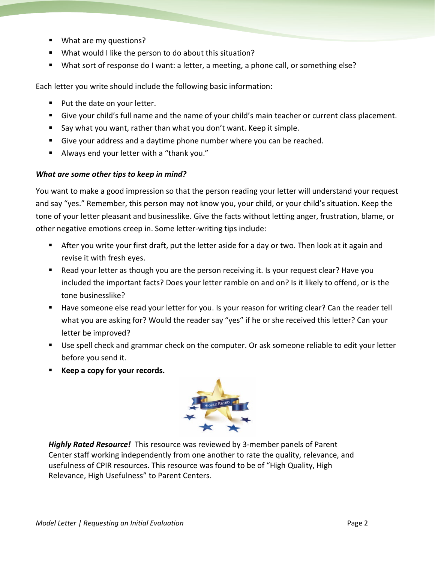- What are my questions?
- What would I like the person to do about this situation?
- What sort of response do I want: a letter, a meeting, a phone call, or something else?

Each letter you write should include the following basic information:

- Put the date on your letter.
- Give your child's full name and the name of your child's main teacher or current class placement.
- Say what you want, rather than what you don't want. Keep it simple.
- Give your address and a daytime phone number where you can be reached.
- Always end your letter with a "thank you."

#### *What are some other tips to keep in mind?*

You want to make a good impression so that the person reading your letter will understand your request and say "yes." Remember, this person may not know you, your child, or your child's situation. Keep the tone of your letter pleasant and businesslike. Give the facts without letting anger, frustration, blame, or other negative emotions creep in. Some letter-writing tips include:

- After you write your first draft, put the letter aside for a day or two. Then look at it again and revise it with fresh eyes.
- Read your letter as though you are the person receiving it. Is your request clear? Have you included the important facts? Does your letter ramble on and on? Is it likely to offend, or is the tone businesslike?
- Have someone else read your letter for you. Is your reason for writing clear? Can the reader tell what you are asking for? Would the reader say "yes" if he or she received this letter? Can your letter be improved?
- Use spell check and grammar check on the computer. Or ask someone reliable to edit your letter before you send it.
- **Keep a copy for your records.**



*Highly Rated Resource!* This resource was reviewed by 3-member panels of Parent Center staff working independently from one another to rate the quality, relevance, and usefulness of CPIR resources. This resource was found to be of "High Quality, High Relevance, High Usefulness" to Parent Centers.